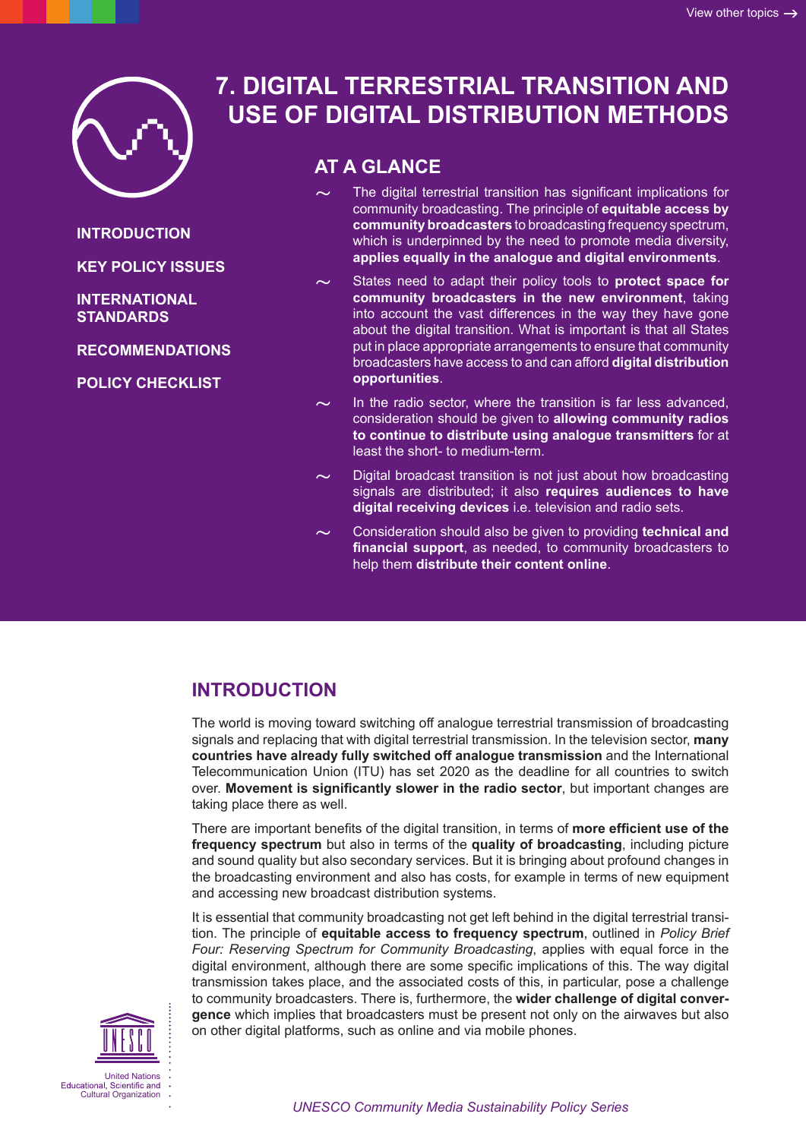

#### **INTRODUCTION**

**[KEY POLICY ISSUES](#page-1-0)**

#### **[INTERNATIONAL](#page-2-0)  [STANDARDS](#page-2-0)**

**[RECOMMENDATIONS](#page-2-0)**

**[POLICY CHECKLIST](#page-3-0)**

# **7. DIGITAL TERRESTRIAL TRANSITION AND USE OF DIGITAL DISTRIBUTION METHODS**

# **AT A GLANCE**

- The digital terrestrial transition has significant implications for community broadcasting. The principle of **equitable access by community broadcasters** to broadcasting frequency spectrum, which is underpinned by the need to promote media diversity, **applies equally in the analogue and digital environments**.
- States need to adapt their policy tools to **protect space for community broadcasters in the new environment**, taking into account the vast differences in the way they have gone about the digital transition. What is important is that all States put in place appropriate arrangements to ensure that community broadcasters have access to and can afford **digital distribution opportunities**.
- In the radio sector, where the transition is far less advanced, consideration should be given to **allowing community radios to continue to distribute using analogue transmitters** for at least the short- to medium-term.
- Digital broadcast transition is not just about how broadcasting signals are distributed; it also **requires audiences to have digital receiving devices** i.e. television and radio sets.
- ~ Consideration should also be given to providing **technical and financial support**, as needed, to community broadcasters to help them **distribute their content online**.

# **INTRODUCTION**

The world is moving toward switching off analogue terrestrial transmission of broadcasting signals and replacing that with digital terrestrial transmission. In the television sector, **many countries have already fully switched off analogue transmission** and the International Telecommunication Union (ITU) has set 2020 as the deadline for all countries to switch over. **Movement is significantly slower in the radio sector**, but important changes are taking place there as well.

There are important benefits of the digital transition, in terms of **more efficient use of the frequency spectrum** but also in terms of the **quality of broadcasting**, including picture and sound quality but also secondary services. But it is bringing about profound changes in the broadcasting environment and also has costs, for example in terms of new equipment and accessing new broadcast distribution systems.

It is essential that community broadcasting not get left behind in the digital terrestrial transition. The principle of **equitable access to frequency spectrum**, outlined in *Policy Brief Four: Reserving Spectrum for Community Broadcasting*, applies with equal force in the digital environment, although there are some specific implications of this. The way digital transmission takes place, and the associated costs of this, in particular, pose a challenge to community broadcasters. There is, furthermore, the **wider challenge of digital convergence** which implies that broadcasters must be present not only on the airwaves but also on other digital platforms, such as online and via mobile phones.

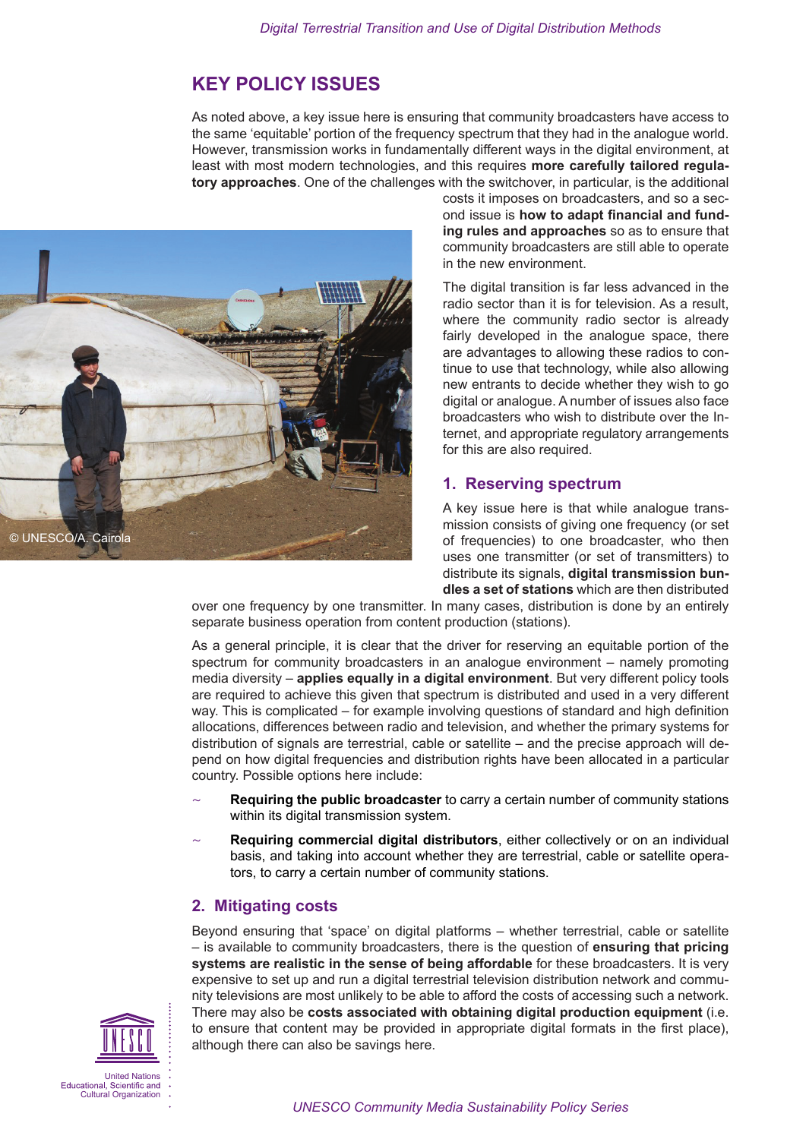# <span id="page-1-0"></span>**KEY POLICY ISSUES**

As noted above, a key issue here is ensuring that community broadcasters have access to the same 'equitable' portion of the frequency spectrum that they had in the analogue world. However, transmission works in fundamentally different ways in the digital environment, at least with most modern technologies, and this requires **more carefully tailored regulatory approaches**. One of the challenges with the switchover, in particular, is the additional



costs it imposes on broadcasters, and so a second issue is **how to adapt financial and funding rules and approaches** so as to ensure that community broadcasters are still able to operate in the new environment.

The digital transition is far less advanced in the radio sector than it is for television. As a result, where the community radio sector is already fairly developed in the analogue space, there are advantages to allowing these radios to continue to use that technology, while also allowing new entrants to decide whether they wish to go digital or analogue. A number of issues also face broadcasters who wish to distribute over the Internet, and appropriate regulatory arrangements for this are also required.

### **1. Reserving spectrum**

A key issue here is that while analogue transmission consists of giving one frequency (or set of frequencies) to one broadcaster, who then uses one transmitter (or set of transmitters) to distribute its signals, **digital transmission bundles a set of stations** which are then distributed

over one frequency by one transmitter. In many cases, distribution is done by an entirely separate business operation from content production (stations).

As a general principle, it is clear that the driver for reserving an equitable portion of the spectrum for community broadcasters in an analogue environment – namely promoting media diversity – **applies equally in a digital environment**. But very different policy tools are required to achieve this given that spectrum is distributed and used in a very different way. This is complicated – for example involving questions of standard and high definition allocations, differences between radio and television, and whether the primary systems for distribution of signals are terrestrial, cable or satellite – and the precise approach will depend on how digital frequencies and distribution rights have been allocated in a particular country. Possible options here include:

- **Requiring the public broadcaster** to carry a certain number of community stations within its digital transmission system.
- Requiring commercial digital distributors, either collectively or on an individual basis, and taking into account whether they are terrestrial, cable or satellite operators, to carry a certain number of community stations.

### **2. Mitigating costs**

Beyond ensuring that 'space' on digital platforms – whether terrestrial, cable or satellite – is available to community broadcasters, there is the question of **ensuring that pricing systems are realistic in the sense of being affordable** for these broadcasters. It is very expensive to set up and run a digital terrestrial television distribution network and community televisions are most unlikely to be able to afford the costs of accessing such a network. There may also be **costs associated with obtaining digital production equipment** (i.e. to ensure that content may be provided in appropriate digital formats in the first place), although there can also be savings here.

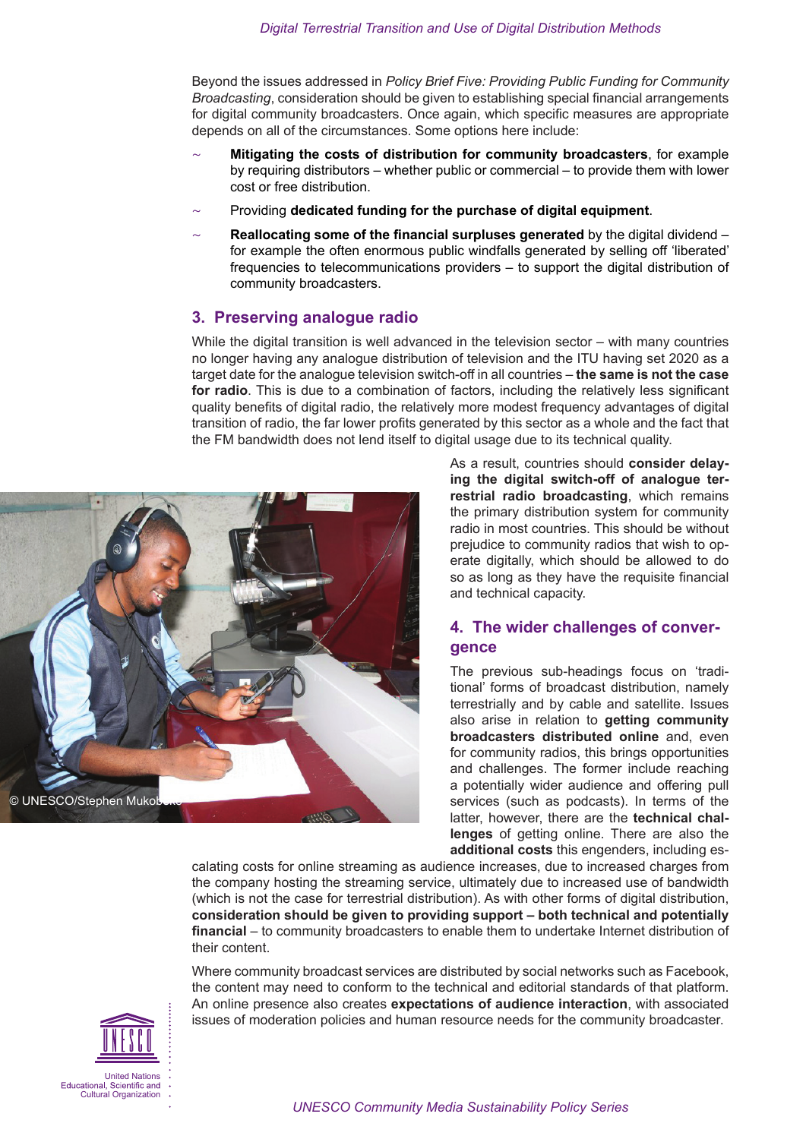<span id="page-2-0"></span>Beyond the issues addressed in *Policy Brief Five: Providing Public Funding for Community Broadcasting*, consideration should be given to establishing special financial arrangements for digital community broadcasters. Once again, which specific measures are appropriate depends on all of the circumstances. Some options here include:

- ~ **Mitigating the costs of distribution for community broadcasters**, for example by requiring distributors – whether public or commercial – to provide them with lower cost or free distribution.
- ~ Providing **dedicated funding for the purchase of digital equipment**.
- ~ **Reallocating some of the financial surpluses generated** by the digital dividend for example the often enormous public windfalls generated by selling off 'liberated' frequencies to telecommunications providers – to support the digital distribution of community broadcasters.

#### **3. Preserving analogue radio**

While the digital transition is well advanced in the television sector – with many countries no longer having any analogue distribution of television and the ITU having set 2020 as a target date for the analogue television switch-off in all countries – **the same is not the case for radio**. This is due to a combination of factors, including the relatively less significant quality benefits of digital radio, the relatively more modest frequency advantages of digital transition of radio, the far lower profits generated by this sector as a whole and the fact that the FM bandwidth does not lend itself to digital usage due to its technical quality.



As a result, countries should **consider delaying the digital switch-off of analogue terrestrial radio broadcasting**, which remains the primary distribution system for community radio in most countries. This should be without prejudice to community radios that wish to operate digitally, which should be allowed to do so as long as they have the requisite financial and technical capacity.

### **4. The wider challenges of convergence**

The previous sub-headings focus on 'traditional' forms of broadcast distribution, namely terrestrially and by cable and satellite. Issues also arise in relation to **getting community broadcasters distributed online** and, even for community radios, this brings opportunities and challenges. The former include reaching a potentially wider audience and offering pull services (such as podcasts). In terms of the latter, however, there are the **technical challenges** of getting online. There are also the **additional costs** this engenders, including es-

calating costs for online streaming as audience increases, due to increased charges from the company hosting the streaming service, ultimately due to increased use of bandwidth (which is not the case for terrestrial distribution). As with other forms of digital distribution, **consideration should be given to providing support – both technical and potentially financial** – to community broadcasters to enable them to undertake Internet distribution of their content.

Where community broadcast services are distributed by social networks such as Facebook, the content may need to conform to the technical and editorial standards of that platform. An online presence also creates **expectations of audience interaction**, with associated issues of moderation policies and human resource needs for the community broadcaster.

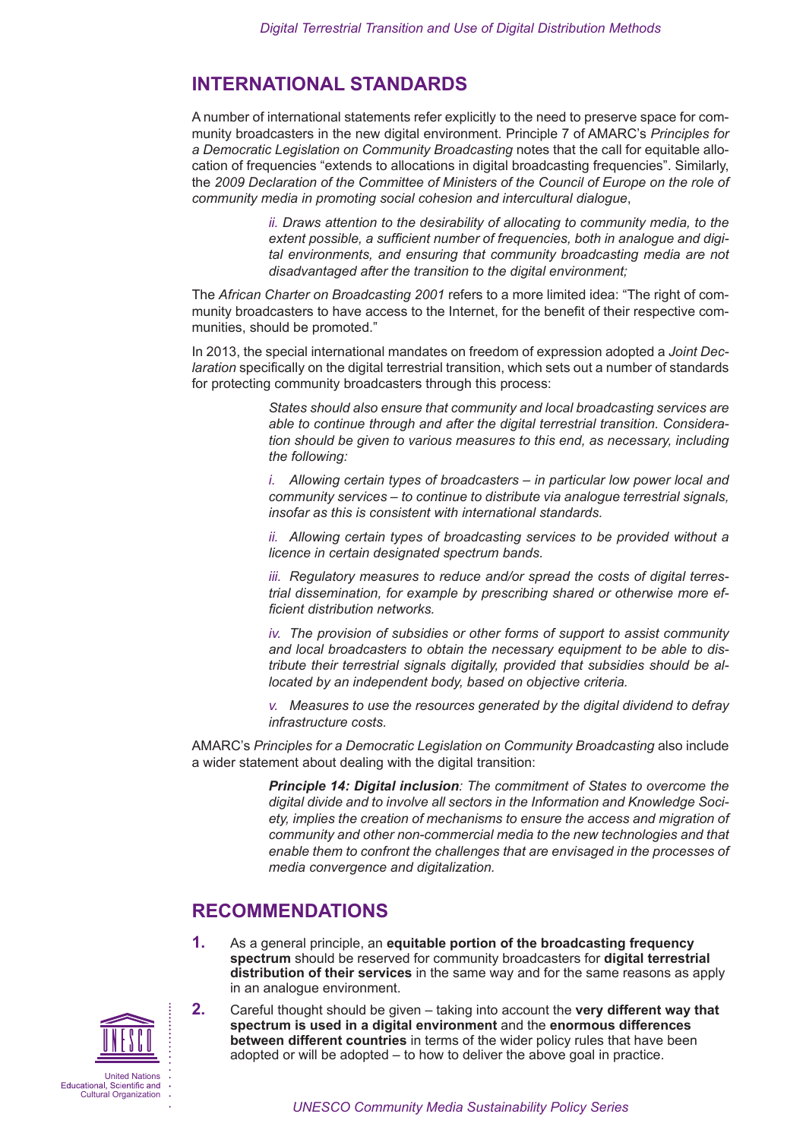## <span id="page-3-0"></span>**INTERNATIONAL STANDARDS**

A number of international statements refer explicitly to the need to preserve space for community broadcasters in the new digital environment. Principle 7 of AMARC's *Principles for a Democratic Legislation on Community Broadcasting* notes that the call for equitable allocation of frequencies "extends to allocations in digital broadcasting frequencies". Similarly, the *2009 Declaration of the Committee of Ministers of the Council of Europe on the role of community media in promoting social cohesion and intercultural dialogue*,

> *ii. Draws attention to the desirability of allocating to community media, to the extent possible, a sufficient number of frequencies, both in analogue and digital environments, and ensuring that community broadcasting media are not disadvantaged after the transition to the digital environment;*

The *African Charter on Broadcasting 2001* refers to a more limited idea: "The right of community broadcasters to have access to the Internet, for the benefit of their respective communities, should be promoted."

In 2013, the special international mandates on freedom of expression adopted a *Joint Declaration* specifically on the digital terrestrial transition, which sets out a number of standards for protecting community broadcasters through this process:

> *States should also ensure that community and local broadcasting services are able to continue through and after the digital terrestrial transition. Consideration should be given to various measures to this end, as necessary, including the following:*

> *i. Allowing certain types of broadcasters – in particular low power local and community services – to continue to distribute via analogue terrestrial signals, insofar as this is consistent with international standards.*

> *ii. Allowing certain types of broadcasting services to be provided without a licence in certain designated spectrum bands.*

> *iii. Regulatory measures to reduce and/or spread the costs of digital terrestrial dissemination, for example by prescribing shared or otherwise more efficient distribution networks.*

> *iv. The provision of subsidies or other forms of support to assist community and local broadcasters to obtain the necessary equipment to be able to distribute their terrestrial signals digitally, provided that subsidies should be allocated by an independent body, based on objective criteria.*

> *v. Measures to use the resources generated by the digital dividend to defray infrastructure costs.*

AMARC's *Principles for a Democratic Legislation on Community Broadcasting* also include a wider statement about dealing with the digital transition:

> *Principle 14: Digital inclusion: The commitment of States to overcome the digital divide and to involve all sectors in the Information and Knowledge Society, implies the creation of mechanisms to ensure the access and migration of community and other non-commercial media to the new technologies and that enable them to confront the challenges that are envisaged in the processes of media convergence and digitalization.*

### **RECOMMENDATIONS**

**1.** As a general principle, an **equitable portion of the broadcasting frequency spectrum** should be reserved for community broadcasters for **digital terrestrial distribution of their services** in the same way and for the same reasons as apply in an analogue environment.